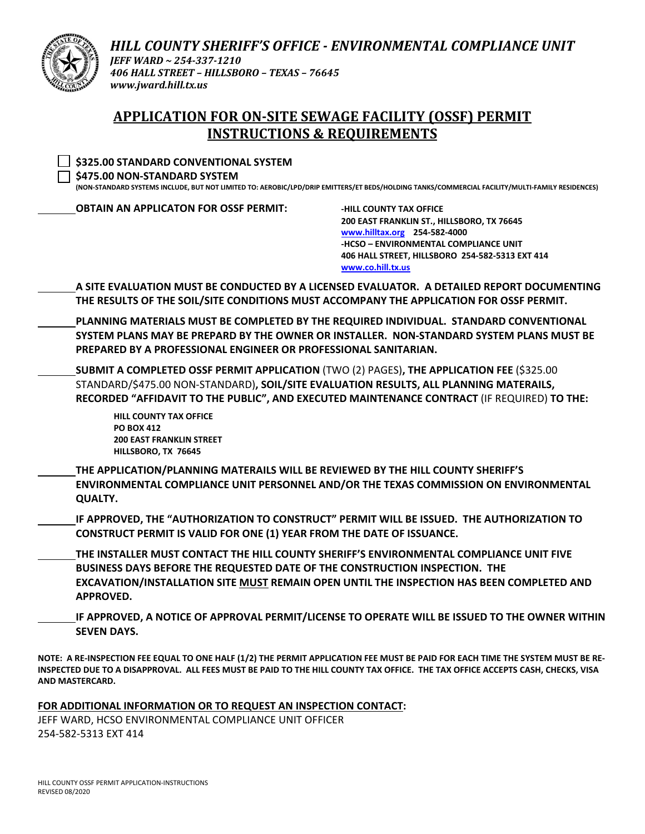

*HILL COUNTY SHERIFF'S OFFICE ‐ ENVIRONMENTAL COMPLIANCE UNIT JEFF WARD ~ 254‐337‐1210 406 HALL STREET – HILLSBORO – TEXAS – 76645 www.jward.hill.tx.us*

## **APPLICATION FOR ON‐SITE SEWAGE FACILITY (OSSF) PERMIT INSTRUCTIONS & REQUIREMENTS**

| \$325.00 STANDARD CONVENTIONAL SYSTEM<br>\$475.00 NON-STANDARD SYSTEM                                        | (NON-STANDARD SYSTEMS INCLUDE, BUT NOT LIMITED TO: AEROBIC/LPD/DRIP EMITTERS/ET BEDS/HOLDING TANKS/COMMERCIAL FACILITY/MULTI-FAMILY RESIDENCES)                                                                                                                                    |
|--------------------------------------------------------------------------------------------------------------|------------------------------------------------------------------------------------------------------------------------------------------------------------------------------------------------------------------------------------------------------------------------------------|
| <b>OBTAIN AN APPLICATON FOR OSSF PERMIT:</b>                                                                 | <b>-HILL COUNTY TAX OFFICE</b><br>200 EAST FRANKLIN ST., HILLSBORO, TX 76645<br>www.hilltax.org 254-582-4000<br>-HCSO - ENVIRONMENTAL COMPLIANCE UNIT<br>406 HALL STREET, HILLSBORO 254-582-5313 EXT 414<br>www.co.hill.tx.us                                                      |
|                                                                                                              | A SITE EVALUATION MUST BE CONDUCTED BY A LICENSED EVALUATOR. A DETAILED REPORT DOCUMENTING<br>THE RESULTS OF THE SOIL/SITE CONDITIONS MUST ACCOMPANY THE APPLICATION FOR OSSF PERMIT.                                                                                              |
| PREPARED BY A PROFESSIONAL ENGINEER OR PROFESSIONAL SANITARIAN.                                              | PLANNING MATERIALS MUST BE COMPLETED BY THE REQUIRED INDIVIDUAL. STANDARD CONVENTIONAL<br>SYSTEM PLANS MAY BE PREPARD BY THE OWNER OR INSTALLER. NON-STANDARD SYSTEM PLANS MUST BE                                                                                                 |
|                                                                                                              | SUBMIT A COMPLETED OSSF PERMIT APPLICATION (TWO (2) PAGES), THE APPLICATION FEE (\$325.00<br>STANDARD/\$475.00 NON-STANDARD), SOIL/SITE EVALUATION RESULTS, ALL PLANNING MATERAILS,<br>RECORDED "AFFIDAVIT TO THE PUBLIC", AND EXECUTED MAINTENANCE CONTRACT (IF REQUIRED) TO THE: |
| <b>HILL COUNTY TAX OFFICE</b><br><b>PO BOX 412</b><br><b>200 EAST FRANKLIN STREET</b><br>HILLSBORO, TX 76645 |                                                                                                                                                                                                                                                                                    |
| THE APPLICATION/PLANNING MATERAILS WILL BE REVIEWED BY THE HILL COUNTY SHERIFF'S<br><b>QUALTY.</b>           | ENVIRONMENTAL COMPLIANCE UNIT PERSONNEL AND/OR THE TEXAS COMMISSION ON ENVIRONMENTAL                                                                                                                                                                                               |
| CONSTRUCT PERMIT IS VALID FOR ONE (1) YEAR FROM THE DATE OF ISSUANCE.                                        | IF APPROVED, THE "AUTHORIZATION TO CONSTRUCT" PERMIT WILL BE ISSUED. THE AUTHORIZATION TO                                                                                                                                                                                          |
| BUSINESS DAYS BEFORE THE REQUESTED DATE OF THE CONSTRUCTION INSPECTION. THE<br><b>APPROVED.</b>              | THE INSTALLER MUST CONTACT THE HILL COUNTY SHERIFF'S ENVIRONMENTAL COMPLIANCE UNIT FIVE<br>EXCAVATION/INSTALLATION SITE MUST REMAIN OPEN UNTIL THE INSPECTION HAS BEEN COMPLETED AND                                                                                               |

**IF APPROVED, A NOTICE OF APPROVAL PERMIT/LICENSE TO OPERATE WILL BE ISSUED TO THE OWNER WITHIN SEVEN DAYS.**

NOTE: A RE-INSPECTION FEE EQUAL TO ONE HALF (1/2) THE PERMIT APPLICATION FEE MUST BE PAID FOR EACH TIME THE SYSTEM MUST BE RE-INSPECTED DUE TO A DISAPPROVAL. ALL FEES MUST BE PAID TO THE HILL COUNTY TAX OFFICE. THE TAX OFFICE ACCEPTS CASH, CHECKS, VISA **AND MASTERCARD.**

**FOR ADDITIONAL INFORMATION OR TO REQUEST AN INSPECTION CONTACT:**

JEFF WARD, HCSO ENVIRONMENTAL COMPLIANCE UNIT OFFICER 254‐582‐5313 EXT 414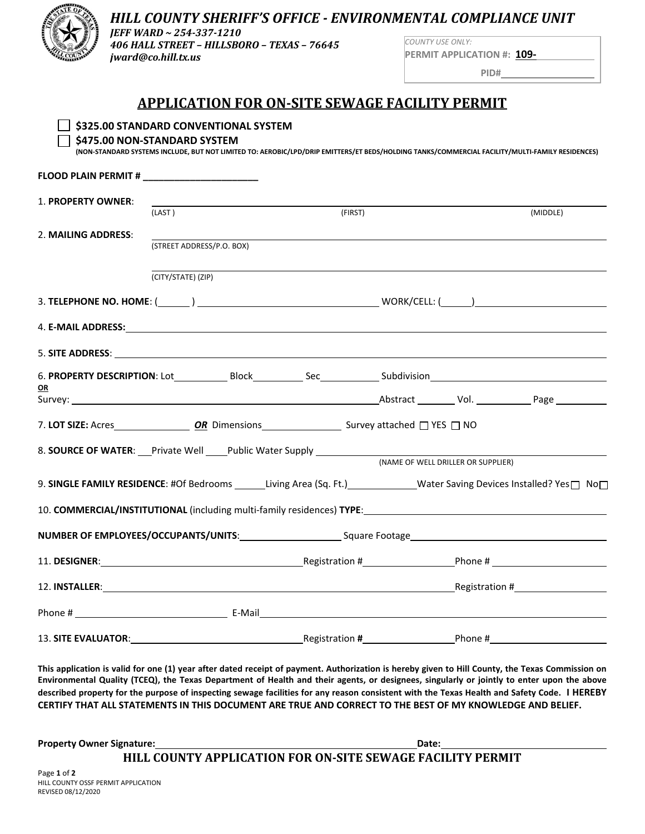

## *HILL COUNTY SHERIFF'S OFFICE ‐ ENVIRONMENTAL COMPLIANCE UNIT*

*JEFF WARD ~ 254‐337‐1210 406 HALL STREET – HILLSBORO – TEXAS – 76645 jward@co.hill.tx.us*

**\$325.00 STANDARD CONVENTIONAL SYSTEM**

*COUNTY USE ONLY:* **PERMIT APPLICATION #: 109‐** 

**PID#** 

## **APPLICATION FOR ON‐SITE SEWAGE FACILITY PERMIT**

| \$475.00 NON-STANDARD SYSTEM                                                                                                                                                                                                   |                           |  |         |                                    | (NON-STANDARD SYSTEMS INCLUDE, BUT NOT LIMITED TO: AEROBIC/LPD/DRIP EMITTERS/ET BEDS/HOLDING TANKS/COMMERCIAL FACILITY/MULTI-FAMILY RESIDENCES) |
|--------------------------------------------------------------------------------------------------------------------------------------------------------------------------------------------------------------------------------|---------------------------|--|---------|------------------------------------|-------------------------------------------------------------------------------------------------------------------------------------------------|
| FLOOD PLAIN PERMIT # ________________________                                                                                                                                                                                  |                           |  |         |                                    |                                                                                                                                                 |
| 1. PROPERTY OWNER:                                                                                                                                                                                                             | (LAST)                    |  | (FIRST) |                                    | (MIDDLE)                                                                                                                                        |
| 2. MAILING ADDRESS:                                                                                                                                                                                                            |                           |  |         |                                    |                                                                                                                                                 |
|                                                                                                                                                                                                                                | (STREET ADDRESS/P.O. BOX) |  |         |                                    |                                                                                                                                                 |
|                                                                                                                                                                                                                                | (CITY/STATE) (ZIP)        |  |         |                                    |                                                                                                                                                 |
|                                                                                                                                                                                                                                |                           |  |         |                                    |                                                                                                                                                 |
|                                                                                                                                                                                                                                |                           |  |         |                                    |                                                                                                                                                 |
|                                                                                                                                                                                                                                |                           |  |         |                                    |                                                                                                                                                 |
| OR                                                                                                                                                                                                                             |                           |  |         |                                    |                                                                                                                                                 |
|                                                                                                                                                                                                                                |                           |  |         |                                    |                                                                                                                                                 |
|                                                                                                                                                                                                                                |                           |  |         |                                    |                                                                                                                                                 |
| 8. SOURCE OF WATER: Private Well Public Water Supply Public Water Supply                                                                                                                                                       |                           |  |         | (NAME OF WELL DRILLER OR SUPPLIER) |                                                                                                                                                 |
| 9. SINGLE FAMILY RESIDENCE: #Of Bedrooms Living Area (Sq. Ft.) Water Saving Devices Installed? Yes No                                                                                                                          |                           |  |         |                                    |                                                                                                                                                 |
|                                                                                                                                                                                                                                |                           |  |         |                                    |                                                                                                                                                 |
| 10. COMMERCIAL/INSTITUTIONAL (including multi-family residences) TYPE: 10. COMMERCIAL/INSTITUTIONAL (including multi-family residences) TYPE:                                                                                  |                           |  |         |                                    |                                                                                                                                                 |
| NUMBER OF EMPLOYEES/OCCUPANTS/UNITS: Square Footage______________________________                                                                                                                                              |                           |  |         |                                    |                                                                                                                                                 |
| 11. DESIGNER: Processor Registration # Phone # Phone # Phone # Phone # Phone # Phone #                                                                                                                                         |                           |  |         |                                    |                                                                                                                                                 |
| 12. INSTALLER: Processor and Contract Contract Contract Contract Contract Contract Contract Contract Contract Contract Contract Contract Contract Contract Contract Contract Contract Contract Contract Contract Contract Cont |                           |  |         |                                    |                                                                                                                                                 |
|                                                                                                                                                                                                                                |                           |  |         |                                    |                                                                                                                                                 |
|                                                                                                                                                                                                                                |                           |  |         |                                    |                                                                                                                                                 |

This application is valid for one (1) year after dated receipt of payment. Authorization is hereby given to Hill County, the Texas Commission on Environmental Quality (TCEQ), the Texas Department of Health and their agents, or designees, singularly or jointly to enter upon the above described property for the purpose of inspecting sewage facilities for any reason consistent with the Texas Health and Safety Code. I HEREBY CERTIFY THAT ALL STATEMENTS IN THIS DOCUMENT ARE TRUE AND CORRECT TO THE BEST OF MY KNOWLEDGE AND BELIEF.

| <b>Property Owner Signature:</b> | Date:                                                             |
|----------------------------------|-------------------------------------------------------------------|
|                                  | <b>HILL COUNTY APPLICATION FOR ON-SITE SEWAGE FACILITY PERMIT</b> |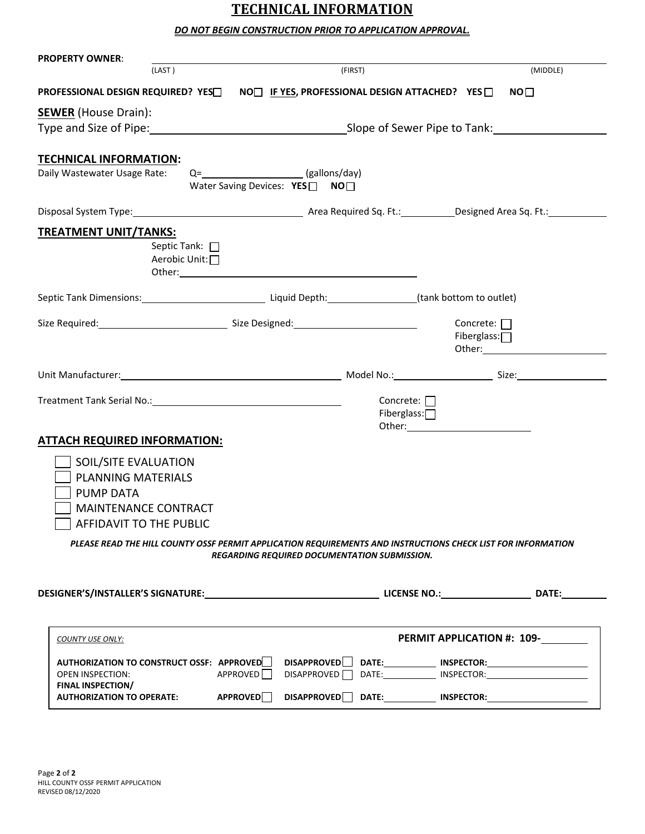## **TECHNICAL INFORMATION**

### *DO NOT BEGIN CONSTRUCTION PRIOR TO APPLICATION APPROVAL.*

| <b>PROPERTY OWNER:</b>                                                                                                                                                                                                         |                                                                                                                                                                     |                                 |                                                                                                                                                                                                                                                                                |  |
|--------------------------------------------------------------------------------------------------------------------------------------------------------------------------------------------------------------------------------|---------------------------------------------------------------------------------------------------------------------------------------------------------------------|---------------------------------|--------------------------------------------------------------------------------------------------------------------------------------------------------------------------------------------------------------------------------------------------------------------------------|--|
| (LAST)                                                                                                                                                                                                                         | (FIRST)                                                                                                                                                             |                                 | (MIDDLE)                                                                                                                                                                                                                                                                       |  |
| PROFESSIONAL DESIGN REQUIRED? YES□ NO□ IF YES, PROFESSIONAL DESIGN ATTACHED? YES □                                                                                                                                             |                                                                                                                                                                     |                                 | NO <sub>1</sub>                                                                                                                                                                                                                                                                |  |
| <b>SEWER</b> (House Drain):                                                                                                                                                                                                    | Type and Size of Pipe: 1992 Contract to the Slope of Sewer Pipe to Tank:                                                                                            |                                 |                                                                                                                                                                                                                                                                                |  |
| <b>TECHNICAL INFORMATION:</b><br>Daily Wastewater Usage Rate:                                                                                                                                                                  | Q=________________________(gallons/day)<br>Water Saving Devices: YES□ NO□                                                                                           |                                 |                                                                                                                                                                                                                                                                                |  |
| Disposal System Type: 1990 1991 1992 Area Required Sq. Ft.: 1993 Designed Area Sq. Ft.: 1994                                                                                                                                   |                                                                                                                                                                     |                                 |                                                                                                                                                                                                                                                                                |  |
| <b>TREATMENT UNIT/TANKS:</b><br>Septic Tank: 0<br>Aerobic Unit:□                                                                                                                                                               |                                                                                                                                                                     |                                 |                                                                                                                                                                                                                                                                                |  |
|                                                                                                                                                                                                                                |                                                                                                                                                                     |                                 |                                                                                                                                                                                                                                                                                |  |
|                                                                                                                                                                                                                                |                                                                                                                                                                     |                                 | Concrete: $\Box$<br>Fiberglass: $\Box$<br>Other: <u>with a series of the series of the series of the series of the series of the series of the series of the series of the series of the series of the series of the series of the series of the series of the series of t</u> |  |
| Unit Manufacturer: Size: Size: Size: Size: Size: Size: Size: Size: Size: Size: Size: Size: Size: Size: Size: Size: Size: Size: Size: Size: Size: Size: Size: Size: Size: Size: Size: Size: Size: Size: Size: Size: Size: Size: |                                                                                                                                                                     |                                 |                                                                                                                                                                                                                                                                                |  |
| <b>ATTACH REQUIRED INFORMATION:</b>                                                                                                                                                                                            |                                                                                                                                                                     | Concrete: $\Box$<br>Fiberglass: |                                                                                                                                                                                                                                                                                |  |
| SOIL/SITE EVALUATION                                                                                                                                                                                                           |                                                                                                                                                                     |                                 |                                                                                                                                                                                                                                                                                |  |
| <b>PLANNING MATERIALS</b>                                                                                                                                                                                                      |                                                                                                                                                                     |                                 |                                                                                                                                                                                                                                                                                |  |
| <b>PUMP DATA</b>                                                                                                                                                                                                               |                                                                                                                                                                     |                                 |                                                                                                                                                                                                                                                                                |  |
| <b>MAINTENANCE CONTRACT</b>                                                                                                                                                                                                    |                                                                                                                                                                     |                                 |                                                                                                                                                                                                                                                                                |  |
| AFFIDAVIT TO THE PUBLIC                                                                                                                                                                                                        |                                                                                                                                                                     |                                 |                                                                                                                                                                                                                                                                                |  |
|                                                                                                                                                                                                                                | PLEASE READ THE HILL COUNTY OSSF PERMIT APPLICATION REQUIREMENTS AND INSTRUCTIONS CHECK LIST FOR INFORMATION<br><b>REGARDING REQUIRED DOCUMENTATION SUBMISSION.</b> |                                 |                                                                                                                                                                                                                                                                                |  |
|                                                                                                                                                                                                                                |                                                                                                                                                                     |                                 |                                                                                                                                                                                                                                                                                |  |
| <b>COUNTY USE ONLY:</b>                                                                                                                                                                                                        |                                                                                                                                                                     |                                 | PERMIT APPLICATION #: 109-                                                                                                                                                                                                                                                     |  |
| AUTHORIZATION TO CONSTRUCT OSSF: APPROVED  <br><b>OPEN INSPECTION:</b><br><b>FINAL INSPECTION/</b>                                                                                                                             | <b>DISAPPROVED</b><br>APPROVED<br>DISAPPROVED <sup>[]</sup>                                                                                                         |                                 | DATE:______________ INSPECTOR:__________________________<br>DATE: INSPECTOR:                                                                                                                                                                                                   |  |
| <b>AUTHORIZATION TO OPERATE:</b>                                                                                                                                                                                               | APPROVED <sup>1</sup>                                                                                                                                               |                                 |                                                                                                                                                                                                                                                                                |  |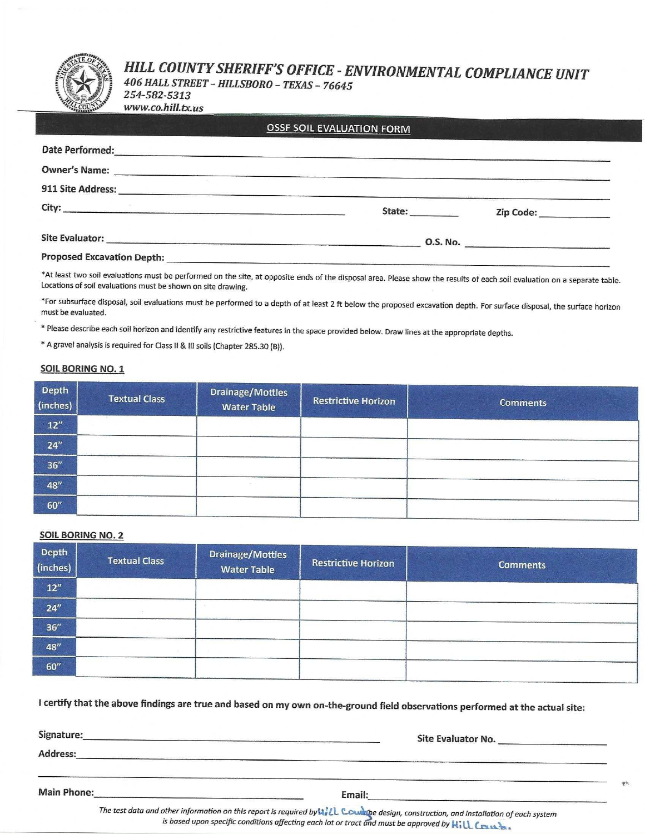# HILL COUNTY SHERIFF'S OFFICE - ENVIRONMENTAL COMPLIANCE UNIT

406 HALL STREET - HILLSBORO - TEXAS - 76645 254-582-5313

www.co.hill.tx.us

|  | <b>OSSF SOIL EVALUATION FORM</b> |
|--|----------------------------------|
|  |                                  |

| Date Performed:                                                                                                                             |        |                           |
|---------------------------------------------------------------------------------------------------------------------------------------------|--------|---------------------------|
| <b>Owner's Name:</b><br>and the company of the company of the company of the company of the company of the company of the company of the    |        |                           |
| 911 Site Address:                                                                                                                           |        |                           |
|                                                                                                                                             | State: | Zip Code: _______________ |
| <b>Site Evaluator:</b><br><u> Maria de la contrada de la contrada de la contrada de la contrada de la contrada de la contrada de la con</u> |        | 0.S. No.                  |
| <b>Proposed Excavation Depth:</b>                                                                                                           |        |                           |

\*At least two soil evaluations must be performed on the site, at opposite ends of the disposal area. Please show the results of each soil evaluation on a separate table. Locations of soil evaluations must be shown on site drawing.

\*For subsurface disposal, soil evaluations must be performed to a depth of at least 2 ft below the proposed excavation depth. For surface disposal, the surface horizon must be evaluated.

\* Please describe each soil horizon and identify any restrictive features in the space provided below. Draw lines at the appropriate depths.

\* A gravel analysis is required for Class II & III soils (Chapter 285.30 (B)).

#### **SOIL BORING NO. 1**

| Depth<br>(inches)   | <b>Textual Class</b> | Drainage/Mottles<br><b>Water Table</b> | Restrictive Horizon | <b>Comments</b> |
|---------------------|----------------------|----------------------------------------|---------------------|-----------------|
| 12"                 |                      |                                        |                     |                 |
| 24''                |                      |                                        |                     |                 |
| 36"                 |                      |                                        |                     |                 |
| 48''                |                      |                                        |                     |                 |
| $60^{\prime\prime}$ |                      |                                        |                     |                 |

#### **SOIL BORING NO. 2**

| Depth<br>(inches)   | <b>Textual Class</b> | Drainage/Mottles<br><b>Water Table</b> | <b>Restrictive Horizon</b> | <b>Comments</b> |
|---------------------|----------------------|----------------------------------------|----------------------------|-----------------|
| 12''                |                      |                                        |                            |                 |
| 24''                |                      |                                        |                            |                 |
| 36''                |                      |                                        |                            |                 |
| 48"                 |                      |                                        |                            |                 |
| $60^{\prime\prime}$ |                      |                                        |                            |                 |

I certify that the above findings are true and based on my own on-the-ground field observations performed at the actual site:

Signature:

Site Evaluator No. No. All and the contract of the state of the contract of the contract of the contract of the

Address:

Main Phone:

Email:

The test data and other information on this report is required by WILL Countine design, construction, and installation of each system is based upon specific conditions affecting each lot or tract and must be approved by Kill Crass